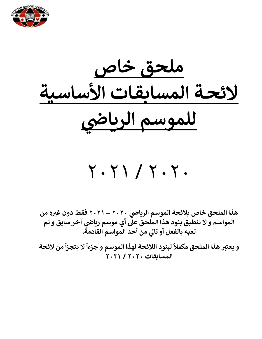

**ملحق خاص لائحـة المساᗷقـات الأساسᘭة <sup>ᡧ</sup> للموسم الᗫᖁاᢝᣔ**

٢٠٢١ ͭ ٢٠٢٠

**<sup>٢٠٢٠</sup> – <sup>٢٠٢١</sup> <sup>ᢕ</sup> فقط دون غᣂە من <sup>ᡧ</sup> هذا الملحق خاص ᗷلائحة الموسم الᗫᖁاᢝᣔ ᡧ المواسم و لا تنطبق بنود هذا الملحق عᣢ أي موسم رᗫاᢝᣔ آخر سابق و تم**  لعبه بالفعل أو تالى من أحد المواسم القادمة.

و يعتبر هذا الملحق مكملاً لبنود اللائحة لهذا الموسم و جزءاً لا يتجزأ من لائحة **المساᗷقات ٢٠٢٠ ͭ <sup>٢٠٢١</sup>**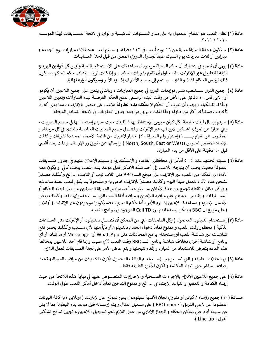

- **مادة (١)** نظام اللعب هو النظام المعمول به على مدار الســـنوات الماضـــية و الوارد في لائحة المســـابقات لهذا الموســـم ᡧ .٢٠٢١ ͭ ٢٠٢٠
- ما**دة (٢)** سـتكون وحدة المباراة عبارة عن ١٦ بورد تُلعب في ١١٢ دقيقة. و سـيتم لعب عدد ثلاث مباريات يوم الجمعة و مباراتين أو ثلاث مباربات يوم السبت طبقاً لجدول الدوري المعلن من قبل لجنة المسابقات.
- مادة <mark>(٣)</mark> يرجى أن تضـع في اعتبارك أن حكم المباراة موجود لمســاعدتك على الاسـتمتاع باللعبة **وليس كل قوانين البريدج** قا**بلة للتطبيق عبر الإنترنت** ، لذا حاول أن تلتزم بقرارات الحكم ، و إذا كنت تريد استئناف حكم الحكم ، سيكون ذلك لرئيس الحكام فقط و الذي سيستمع إلى جميع الأطراف إذا لزم الأمر **وسيكون قراره نهائيًا.**
- ᡧ**مادة (٤)** جميع الفرق ســـتلعب نفس توزيعات الورق في جميع المباريات ، وبالتالي يتعين على جميع اللاعبين أن يكونوا ᡧ أون لاين قبل ١٠ دقائق على الأقل من وقت البدء الرســمي لمنح الحكم الفرصــة لبدء الطاولات وتعيين اللاعبين وفقًا لـ التشكيلة ، يجب أن نعرف أن الحكم ل**ا يمكنه بدء الطاولة** بلاعب غير متصل بالإنترنت ، مما يعنى أنه إذا تأخرت ، فستتأخر أكثر من طاولة وفقًا لذلك ، يرجى مراجعة جدول العقوبات في لائحة التسابق المرفقة " ᡧ ֠
- **مادة (٥)** سيتم إرسال لينك خاصة لكل كابتن يرجى الإحتفاظ بهذة اللينك حيث سيتم إستخدامها في جميع المباريات -ي المركز.<br>وهي عبارة عن نموذج تشــكيل لاين آب عبر الإنترنت و تشــمل جميع المباريات الخاصــة بالنادي في كل مرحلة، و المطلوب هو القᘭام ᗷـــــــــــــــــ ١) إختᘭار رقم المᘘاراة ، ٢) اختᘭار لاعبᘭك من قائمة الأسماء المحددة لفᗫᖁقك و كذلك الإتجاه المُفضل لجلوس (North, South, East or West ) وارسالها عن طريق زر الإرسال. و ذلك بحد أقصى. قبل ٦٠ دقيقة على الأقل من بدء المباراة.
- **مادة (٦)** ســيتم تحديد عدد ٤ ٥ أماكن في محافظتي القاهرة و الإســكندرية و ســيتم الإعلان عنهم في جدول مســابقات ᡧ ᡧ البطولة بحيث يجب أن يتوجه اللاعب إلى أحد هذه الاماكن قبل موعد بدء اللعب بوقت كافي و يكون معه ٍ ᡧ .<br>آ الآداة التي تمكنه من اللعب عبر الإنترنت على موقع الــــ BBO مثل اللاب توب أو التابلت ... الخ و كذلك مصـدراً موسعة سعدة سعدة سعيد المراج وسعد على سعي سعدة سعدة سعيد المساعدة السعيد المساعدة المساعدة سعدة سعدة سعدة سعدة<br>لشحن هذة الآداة لتعمل طيلة اليوم و كذلك مصدراً للإنترنت خاص به و مشحوناً بما يكفي للعب لعدة ساعات، ي .<br>و في كل مكان / نقطة تجمع من هذة الأماكن ســـيتواجد أحد مراقبي المباراة المعينيين من قبل لجنة الحكام أو ᡧالمســــابقات و يقتصرـــــ دورهم على مراقبة اللاعبين و مراقبة أداة اللعب التي يســـتخدمونها فقط و كذلك بعض الأعمال الإدارية و مسـاعدة اللاعبين إذا لزم الأمر ، أما حكام المباريات فسـيكونوا موجودون عبر الإنترنت ( أونلاين الموجود في برنامج التي توجه بن المستوفر العدم العالم بن الموجود في برنامج اللعب.<br>با على موقع ال BBO و يمكن إستدعائهم بزر Call TD الموجود في برنامج اللعب.
- ᡨم**ادة (٧)** إســتخدام التليفون المحمول ( وكل الملحقات التي من الممكن أن تتصـــل بالتليفون أو الإنترنت مثل الســـاعات الذكية ) محظور وقت اللعب و ممنوع تماماً دخول الحمام بالتليفون أو بأياً منها لأي ســـبب و كذلك يحظر فتح شــاشــات غير شــاشــة اللعب أو إســتخدام برامج المحادثات مثل WhatsApp أو Messenger أو ما شــابه أو أي ᡧبرنامج أو شـاشـة أخرى بخلاف شـاشـة برنامج الـــــ BBO وقت اللعب لأي سـبب و إذا قام أحد اللاعبين بمخالفة هذه المادة يتعرض للإستبعاد من المباراة و إلغاء نتيجتها و يتم عرض الأمر على لجنة المسابقات لعمل اللازم.
- **مادة (٨)** في الحالات الطارئة و التي تســـتوجب إســـتخدام الهاتف المحمول يكون ذلك بإذن من مراقب المباراة و تحت ᡧ إشرافه المباشر حتى إنتهاء المكالمة و تكون للأمور الطارئة فقط.
- **مادة (٩)** على جميع اللاعبين الإلتزام بالإجراءات الصــحية و الإحترازات المنصـــوصِ عليها في نهاية هذة اللائحة من حيث ᡧ ۔<br>آ إرتداء الكمامة و التعقيم و التباعد الإجتماعي ... الخ و ممنوع التدخين تماماً داخل أمّاكن اللعب طول الوقت.
- جميع رؤسـاء ͭ كᘘاتن أو مقرري لجان الأندᘌة سـᘭقومون ᗷمᣢ ᢔ نموذج عᣂ الإنᣂ <sup>ᡨ</sup> **مـــــــادة (١٠)** نت ( اونلاين ) ᗷه افة البᘭانات المطلوبة عن لاعبي الفريق ( BBO name ) على ســبيل المثال و يتم إرســـاله قبل موعد بدء البطولة بما لا يقل عن سـبعة أيام حتى يتمكن الحكام و الجهاز الإداري من عمل اللازم نحو تسـجيل اللاعبين و تجهيز نماذج تشـكيل .( Line-up ) الفرق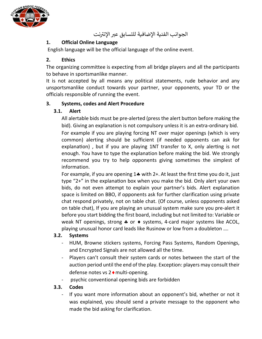

الجوانب الفنية الإضافية للتسابق عبر الإنترنت

## **1. Official Online Language**

English language will be the official language of the online event.

#### **2. Ethics**

The organizing committee is expecting from all bridge players and all the participants to behave in sportsmanlike manner.

It is not accepted by all means any political statements, rude behavior and any unsportsmanlike conduct towards your partner, your opponents, your TD or the officials responsible of running the event.

## **3. Systems, codes and Alert Procedure**

#### **3.1. Alert**

All alertable bids must be pre-alerted (press the alert button before making the bid). Giving an explanation is not compulsory unless it is an extra-ordinary bid.

For example if you are playing forcing NT over major openings (which is very common) alerting should be sufficient (if needed opponents can ask for explanation), but if you are playing 1NT transfer to X, only alerting is not enough. You have to type the explanation before making the bid. We strongly recommend you try to help opponents giving sometimes the simplest of information.

For example, if you are opening  $1$  with  $2+$ . At least the first time you do it, just type "2+" in the explanation box when you make the bid. Only alert your own bids, do not even attempt to explain your partner's bids. Alert explanation space is limited on BBO, if opponents ask for further clarification using private chat respond privately, not on table chat. (Of course, unless opponents asked on table chat), If you are playing an unusual system make sure you pre-alert it before you start bidding the first board, including but not limited to: Variable or weak NT openings, strong  $\clubsuit$  or  $\spadesuit$  systems, 4-card major systems like ACOL, playing unusual honor card leads like Rusinow or low from a doubleton ….

## **3.2. Systems**

- HUM, Browne stickers systems, Forcing Pass Systems, Random Openings, and Encrypted Signals are not allowed all the time.
- Players can't consult their system cards or notes between the start of the auction period until the end of the play. Exception: players may consult their defense notes vs  $2 \cdot \text{multi-opening.}$
- psychic conventional opening bids are forbidden

## **3.3. Codes**

- If you want more information about an opponent's bid, whether or not it was explained, you should send a private message to the opponent who made the bid asking for clarification.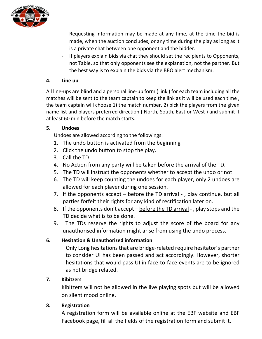

- Requesting information may be made at any time, at the time the bid is made, when the auction concludes, or any time during the play as long as it is a private chat between one opponent and the bidder.
- If players explain bids via chat they should set the recipients to Opponents, not Table, so that only opponents see the explanation, not the partner. But the best way is to explain the bids via the BBO alert mechanism.

#### **4. Line up**

All line-ups are blind and a personal line-up form ( link ) for each team including all the matches will be sent to the team captain to keep the link as it will be used each time , the team captain will choose 1) the match number, 2) pick the players from the given name list and players preferred direction ( North, South, East or West ) and submit it at least 60 min before the match starts.

## **5. Undoes**

Undoes are allowed according to the followings:

- 1. The undo button is activated from the beginning
- 2. Click the undo button to stop the play.
- 3. Call the TD
- 4. No Action from any party will be taken before the arrival of the TD.
- 5. The TD will instruct the opponents whether to accept the undo or not.
- 6. The TD will keep counting the undoes for each player, only 2 undoes are allowed for each player during one session.
- 7. If the opponents accept  $-\overline{before}$  the TD arrival -, play continue. but all parties forfeit their rights for any kind of rectification later on.
- 8. If the opponents don't accept before the TD arrival -, play stops and the TD decide what is to be done.
- 9. The TDs reserve the rights to adjust the score of the board for any unauthorised information might arise from using the undo process.

## **6. Hesitation & Unauthorized information**

Only Long hesitations that are bridge-related require hesitator's partner to consider UI has been passed and act accordingly. However, shorter hesitations that would pass UI in face-to-face events are to be ignored as not bridge related.

## **7. Kibitzers**

Kibitzers will not be allowed in the live playing spots but will be allowed on silent mood online.

## **8. Registration**

A registration form will be available online at the EBF website and EBF Facebook page, fill all the fields of the registration form and submit it.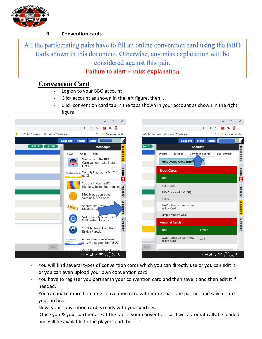

#### **9. Convention cards**

All the participating pairs have to fill an online convention card using the BBO tools shown in this document. Otherwise, any miss explanation will be considered against this pair. Failure to alert  $=$  miss explanation

# **Convention Card**

- Log on to your BBO account
- Click account as shown in the left figure, then...
- Click convention card tab in the tabs shown in your account as shown in the right figure



- You will find several types of convention cards which you can directly use or you can edit it or you can even upload your own convention card
- You have to register you partner in your convention card and then save it and then edit it if needed.
- You can make more than one convention card with more than one partner and save it into your archive.
- Now, your convention card is ready with your partner.
- Once you & your partner are at the table, your convention card will automatically be loaded and will be available to the players and the TDs.